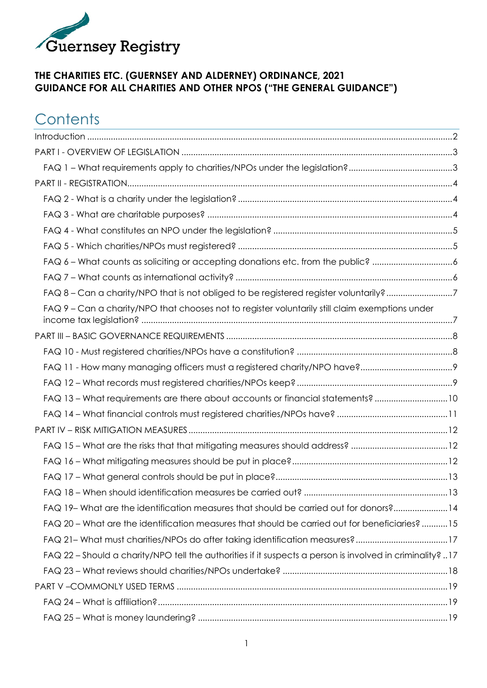

#### **THE CHARITIES ETC. (GUERNSEY AND ALDERNEY) ORDINANCE, 2021 GUIDANCE FOR ALL CHARITIES AND OTHER NPOS ("THE GENERAL GUIDANCE")**

## **Contents**

| FAQ 6 - What counts as soliciting or accepting donations etc. from the public? 6                          |  |
|-----------------------------------------------------------------------------------------------------------|--|
|                                                                                                           |  |
| FAQ 8 - Can a charity/NPO that is not obliged to be registered register voluntarily? 7                    |  |
| FAQ 9 - Can a charity/NPO that chooses not to register voluntarily still claim exemptions under           |  |
|                                                                                                           |  |
|                                                                                                           |  |
|                                                                                                           |  |
|                                                                                                           |  |
| FAQ 13 - What requirements are there about accounts or financial statements? 10                           |  |
|                                                                                                           |  |
|                                                                                                           |  |
|                                                                                                           |  |
|                                                                                                           |  |
|                                                                                                           |  |
|                                                                                                           |  |
| FAQ 19- What are the identification measures that should be carried out for donors?14                     |  |
| FAQ 20 - What are the identification measures that should be carried out for beneficiaries?15             |  |
| FAQ 21- What must charities/NPOs do after taking identification measures?17                               |  |
| FAQ 22 - Should a charity/NPO tell the authorities if it suspects a person is involved in criminality? 17 |  |
|                                                                                                           |  |
|                                                                                                           |  |
|                                                                                                           |  |
|                                                                                                           |  |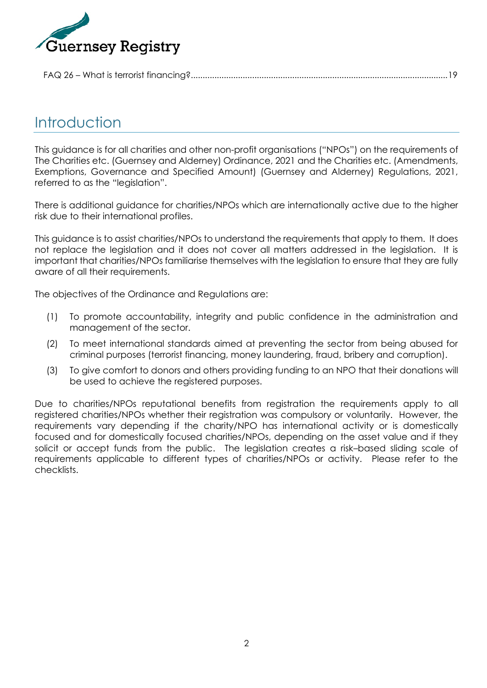

|--|

## <span id="page-1-0"></span>**Introduction**

This guidance is for all charities and other non-profit organisations ("NPOs") on the requirements of The Charities etc. (Guernsey and Alderney) Ordinance, 2021 and the Charities etc. (Amendments, Exemptions, Governance and Specified Amount) (Guernsey and Alderney) Regulations, 2021, referred to as the "legislation".

There is additional guidance for charities/NPOs which are internationally active due to the higher risk due to their international profiles.

This guidance is to assist charities/NPOs to understand the requirements that apply to them. It does not replace the legislation and it does not cover all matters addressed in the legislation. It is important that charities/NPOs familiarise themselves with the legislation to ensure that they are fully aware of all their requirements.

The objectives of the Ordinance and Regulations are:

- (1) To promote accountability, integrity and public confidence in the administration and management of the sector.
- (2) To meet international standards aimed at preventing the sector from being abused for criminal purposes (terrorist financing, money laundering, fraud, bribery and corruption).
- (3) To give comfort to donors and others providing funding to an NPO that their donations will be used to achieve the registered purposes.

Due to charities/NPOs reputational benefits from registration the requirements apply to all registered charities/NPOs whether their registration was compulsory or voluntarily. However, the requirements vary depending if the charity/NPO has international activity or is domestically focused and for domestically focused charities/NPOs, depending on the asset value and if they solicit or accept funds from the public. The legislation creates a risk–based sliding scale of requirements applicable to different types of charities/NPOs or activity. Please refer to the checklists.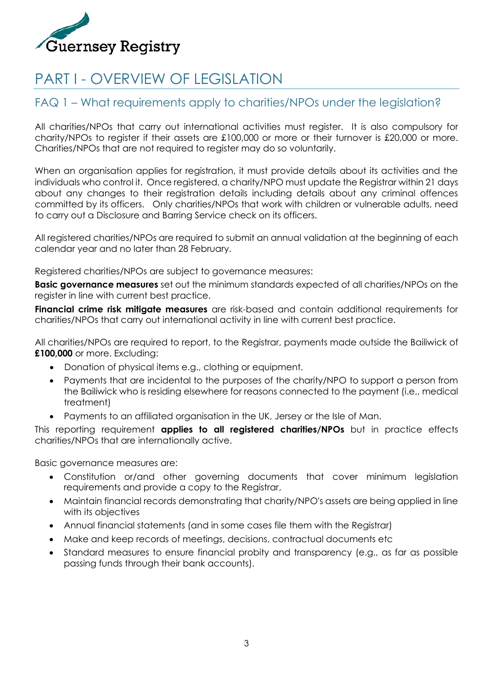

# <span id="page-2-0"></span>PART I - OVERVIEW OF LEGISLATION

### <span id="page-2-1"></span>FAQ 1 – What requirements apply to charities/NPOs under the legislation?

All charities/NPOs that carry out international activities must register. It is also compulsory for charity/NPOs to register if their assets are £100,000 or more or their turnover is £20,000 or more. Charities/NPOs that are not required to register may do so voluntarily.

When an organisation applies for registration, it must provide details about its activities and the individuals who control it. Once registered, a charity/NPO must update the Registrar within 21 days about any changes to their registration details including details about any criminal offences committed by its officers. Only charities/NPOs that work with children or vulnerable adults, need to carry out a Disclosure and Barring Service check on its officers.

All registered charities/NPOs are required to submit an annual validation at the beginning of each calendar year and no later than 28 February.

Registered charities/NPOs are subject to governance measures:

**Basic governance measures** set out the minimum standards expected of all charities/NPOs on the register in line with current best practice.

**Financial crime risk mitigate measures** are risk-based and contain additional requirements for charities/NPOs that carry out international activity in line with current best practice.

All charities/NPOs are required to report, to the Registrar, payments made outside the Bailiwick of **£100,000** or more. Excluding:

- Donation of physical items e.g., clothing or equipment.
- Payments that are incidental to the purposes of the charity/NPO to support a person from the Bailiwick who is residing elsewhere for reasons connected to the payment (i.e., medical treatment)
- Payments to an affiliated organisation in the UK, Jersey or the Isle of Man.

This reporting requirement **applies to all registered charities/NPOs** but in practice effects charities/NPOs that are internationally active.

Basic governance measures are:

- Constitution or/and other governing documents that cover minimum legislation requirements and provide a copy to the Registrar,
- Maintain financial records demonstrating that charity/NPO's assets are being applied in line with its objectives
- Annual financial statements (and in some cases file them with the Registrar)
- Make and keep records of meetings, decisions, contractual documents etc
- Standard measures to ensure financial probity and transparency (e.g., as far as possible passing funds through their bank accounts).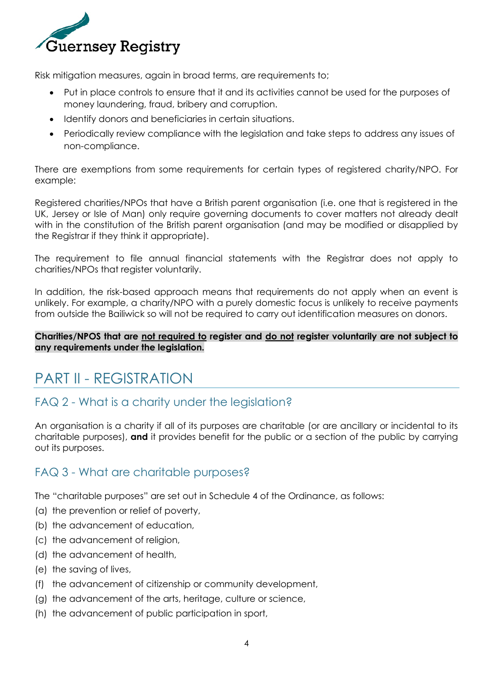

Risk mitigation measures, again in broad terms, are requirements to;

- Put in place controls to ensure that it and its activities cannot be used for the purposes of money laundering, fraud, bribery and corruption.
- Identify donors and beneficiaries in certain situations.
- Periodically review compliance with the legislation and take steps to address any issues of non-compliance.

There are exemptions from some requirements for certain types of registered charity/NPO. For example:

Registered charities/NPOs that have a British parent organisation (i.e. one that is registered in the UK, Jersey or Isle of Man) only require governing documents to cover matters not already dealt with in the constitution of the British parent organisation (and may be modified or disapplied by the Registrar if they think it appropriate).

The requirement to file annual financial statements with the Registrar does not apply to charities/NPOs that register voluntarily.

In addition, the risk-based approach means that requirements do not apply when an event is unlikely. For example, a charity/NPO with a purely domestic focus is unlikely to receive payments from outside the Bailiwick so will not be required to carry out identification measures on donors.

#### **Charities/NPOS that are not required to register and do not register voluntarily are not subject to any requirements under the legislation.**

## <span id="page-3-0"></span>PART II - REGISTRATION

### <span id="page-3-1"></span>FAQ 2 - What is a charity under the legislation?

An organisation is a charity if all of its purposes are charitable (or are ancillary or incidental to its charitable purposes), **and** it provides benefit for the public or a section of the public by carrying out its purposes.

### <span id="page-3-2"></span>FAQ 3 - What are charitable purposes?

The "charitable purposes" are set out in Schedule 4 of the Ordinance, as follows:

- (a) the prevention or relief of poverty,
- (b) the advancement of education,
- (c) the advancement of religion,
- (d) the advancement of health,
- (e) the saving of lives,
- (f) the advancement of citizenship or community development,
- (g) the advancement of the arts, heritage, culture or science,
- (h) the advancement of public participation in sport,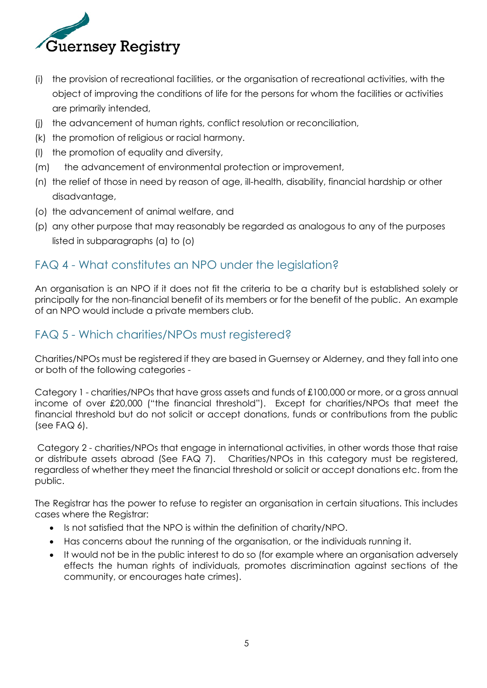

- (i) the provision of recreational facilities, or the organisation of recreational activities, with the object of improving the conditions of life for the persons for whom the facilities or activities are primarily intended,
- (j) the advancement of human rights, conflict resolution or reconciliation,
- (k) the promotion of religious or racial harmony.
- (l) the promotion of equality and diversity,
- (m) the advancement of environmental protection or improvement,
- (n) the relief of those in need by reason of age, ill-health, disability, financial hardship or other disadvantage,
- (o) the advancement of animal welfare, and
- (p) any other purpose that may reasonably be regarded as analogous to any of the purposes listed in subparagraphs (a) to (o)

### <span id="page-4-0"></span>FAQ 4 - What constitutes an NPO under the legislation?

An organisation is an NPO if it does not fit the criteria to be a charity but is established solely or principally for the non-financial benefit of its members or for the benefit of the public. An example of an NPO would include a private members club.

### <span id="page-4-1"></span>FAQ 5 - Which charities/NPOs must registered?

Charities/NPOs must be registered if they are based in Guernsey or Alderney, and they fall into one or both of the following categories -

Category 1 - charities/NPOs that have gross assets and funds of £100,000 or more, or a gross annual income of over £20,000 ("the financial threshold"). Except for charities/NPOs that meet the financial threshold but do not solicit or accept donations, funds or contributions from the public (see FAQ 6).

Category 2 - charities/NPOs that engage in international activities, in other words those that raise or distribute assets abroad (See FAQ 7). Charities/NPOs in this category must be registered, regardless of whether they meet the financial threshold or solicit or accept donations etc. from the public.

The Registrar has the power to refuse to register an organisation in certain situations. This includes cases where the Registrar:

- Is not satisfied that the NPO is within the definition of charity/NPO.
- Has concerns about the running of the organisation, or the individuals running it.
- It would not be in the public interest to do so (for example where an organisation adversely effects the human rights of individuals, promotes discrimination against sections of the community, or encourages hate crimes).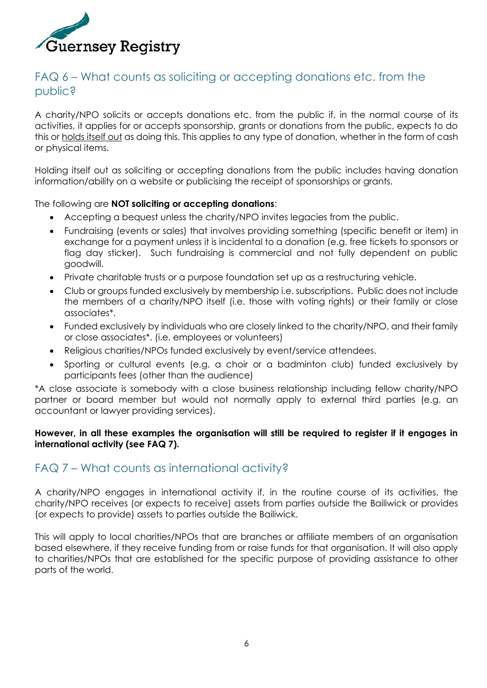

### <span id="page-5-0"></span>FAQ 6 – What counts as soliciting or accepting donations etc. from the public?

A charity/NPO solicits or accepts donations etc. from the public if, in the normal course of its activities, it applies for or accepts sponsorship, grants or donations from the public, expects to do this or holds itself out as doing this. This applies to any type of donation, whether in the form of cash or physical items.

Holding itself out as soliciting or accepting donations from the public includes having donation information/ability on a website or publicising the receipt of sponsorships or grants.

#### The following are **NOT soliciting or accepting donations**:

- Accepting a bequest unless the charity/NPO invites legacies from the public.
- Fundraising (events or sales) that involves providing something (specific benefit or item) in exchange for a payment unless it is incidental to a donation (e.g. free tickets to sponsors or flag day sticker). Such fundraising is commercial and not fully dependent on public goodwill.
- Private charitable trusts or a purpose foundation set up as a restructuring vehicle.
- Club or groups funded exclusively by membership i.e. subscriptions. Public does not include the members of a charity/NPO itself (i.e. those with voting rights) or their family or close associates\*.
- Funded exclusively by individuals who are closely linked to the charity/NPO, and their family or close associates\*. (i.e. employees or volunteers)
- Religious charities/NPOs funded exclusively by event/service attendees.
- Sporting or cultural events (e.g. a choir or a badminton club) funded exclusively by participants fees (other than the audience)

\*A close associate is somebody with a close business relationship including fellow charity/NPO partner or board member but would not normally apply to external third parties (e.g. an accountant or lawyer providing services).

#### **However, in all these examples the organisation will still be required to register if it engages in international activity (see FAQ 7).**

### <span id="page-5-1"></span>FAQ 7 – What counts as international activity?

A charity/NPO engages in international activity if, in the routine course of its activities, the charity/NPO receives (or expects to receive) assets from parties outside the Bailiwick or provides (or expects to provide) assets to parties outside the Bailiwick.

This will apply to local charities/NPOs that are branches or affiliate members of an organisation based elsewhere, if they receive funding from or raise funds for that organisation. It will also apply to charities/NPOs that are established for the specific purpose of providing assistance to other parts of the world.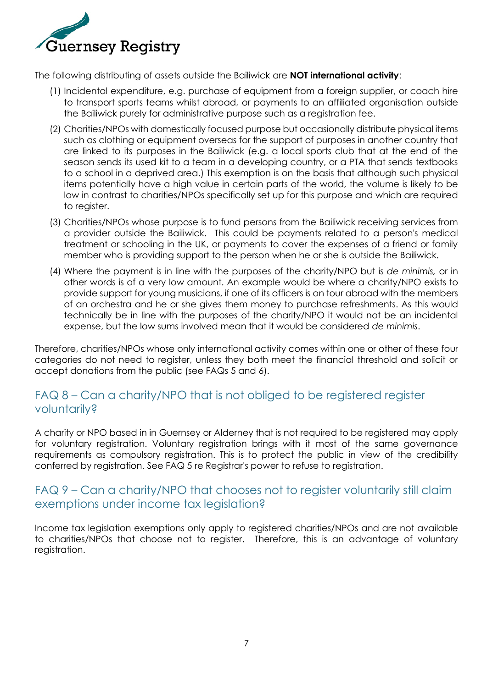

The following distributing of assets outside the Bailiwick are **NOT international activity**:

- (1) Incidental expenditure, e.g. purchase of equipment from a foreign supplier, or coach hire to transport sports teams whilst abroad, or payments to an affiliated organisation outside the Bailiwick purely for administrative purpose such as a registration fee.
- (2) Charities/NPOs with domestically focused purpose but occasionally distribute physical items such as clothing or equipment overseas for the support of purposes in another country that are linked to its purposes in the Bailiwick (e.g. a local sports club that at the end of the season sends its used kit to a team in a developing country, or a PTA that sends textbooks to a school in a deprived area.) This exemption is on the basis that although such physical items potentially have a high value in certain parts of the world, the volume is likely to be low in contrast to charities/NPOs specifically set up for this purpose and which are required to register.
- (3) Charities/NPOs whose purpose is to fund persons from the Bailiwick receiving services from a provider outside the Bailiwick. This could be payments related to a person's medical treatment or schooling in the UK, or payments to cover the expenses of a friend or family member who is providing support to the person when he or she is outside the Bailiwick.
- (4) Where the payment is in line with the purposes of the charity/NPO but is *de minimis,* or in other words is of a very low amount. An example would be where a charity/NPO exists to provide support for young musicians, if one of its officers is on tour abroad with the members of an orchestra and he or she gives them money to purchase refreshments. As this would technically be in line with the purposes of the charity/NPO it would not be an incidental expense, but the low sums involved mean that it would be considered *de minimis*.

Therefore, charities/NPOs whose only international activity comes within one or other of these four categories do not need to register, unless they both meet the financial threshold and solicit or accept donations from the public (see FAQs 5 and 6).

### <span id="page-6-0"></span>FAQ 8 – Can a charity/NPO that is not obliged to be registered register voluntarily?

A charity or NPO based in in Guernsey or Alderney that is not required to be registered may apply for voluntary registration. Voluntary registration brings with it most of the same governance requirements as compulsory registration. This is to protect the public in view of the credibility conferred by registration. See FAQ 5 re Registrar's power to refuse to registration.

### <span id="page-6-1"></span>FAQ 9 – Can a charity/NPO that chooses not to register voluntarily still claim exemptions under income tax legislation?

Income tax legislation exemptions only apply to registered charities/NPOs and are not available to charities/NPOs that choose not to register. Therefore, this is an advantage of voluntary registration.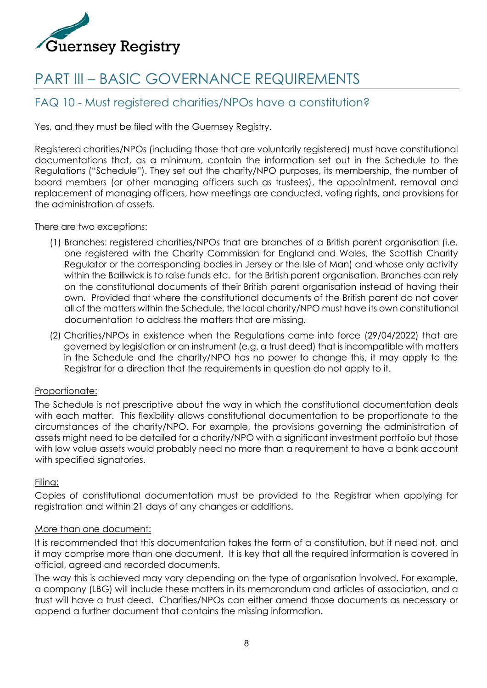

# <span id="page-7-0"></span>PART III – BASIC GOVERNANCE REQUIREMENTS

### <span id="page-7-1"></span>FAQ 10 - Must registered charities/NPOs have a constitution?

Yes, and they must be filed with the Guernsey Registry.

Registered charities/NPOs (including those that are voluntarily registered) must have constitutional documentations that, as a minimum, contain the information set out in the Schedule to the Regulations ("Schedule"). They set out the charity/NPO purposes, its membership, the number of board members (or other managing officers such as trustees), the appointment, removal and replacement of managing officers, how meetings are conducted, voting rights, and provisions for the administration of assets.

There are two exceptions:

- (1) Branches: registered charities/NPOs that are branches of a British parent organisation (i.e. one registered with the Charity Commission for England and Wales, the Scottish Charity Regulator or the corresponding bodies in Jersey or the Isle of Man) and whose only activity within the Bailiwick is to raise funds etc. for the British parent organisation. Branches can rely on the constitutional documents of their British parent organisation instead of having their own. Provided that where the constitutional documents of the British parent do not cover all of the matters within the Schedule, the local charity/NPO must have its own constitutional documentation to address the matters that are missing.
- (2) Charities/NPOs in existence when the Regulations came into force (29/04/2022) that are governed by legislation or an instrument (e.g. a trust deed) that is incompatible with matters in the Schedule and the charity/NPO has no power to change this, it may apply to the Registrar for a direction that the requirements in question do not apply to it.

#### Proportionate:

The Schedule is not prescriptive about the way in which the constitutional documentation deals with each matter. This flexibility allows constitutional documentation to be proportionate to the circumstances of the charity/NPO. For example, the provisions governing the administration of assets might need to be detailed for a charity/NPO with a significant investment portfolio but those with low value assets would probably need no more than a requirement to have a bank account with specified signatories.

#### Filing:

Copies of constitutional documentation must be provided to the Registrar when applying for registration and within 21 days of any changes or additions.

#### More than one document:

It is recommended that this documentation takes the form of a constitution, but it need not, and it may comprise more than one document. It is key that all the required information is covered in official, agreed and recorded documents.

The way this is achieved may vary depending on the type of organisation involved. For example, a company (LBG) will include these matters in its memorandum and articles of association, and a trust will have a trust deed. Charities/NPOs can either amend those documents as necessary or append a further document that contains the missing information.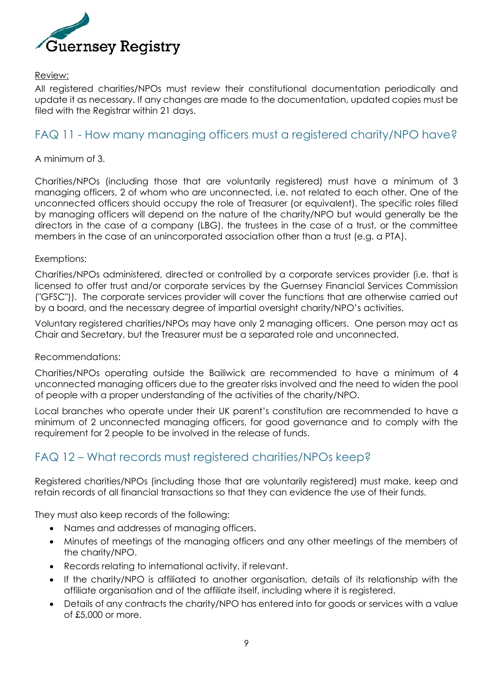

#### Review:

All registered charities/NPOs must review their constitutional documentation periodically and update it as necessary. If any changes are made to the documentation, updated copies must be filed with the Registrar within 21 days.

### <span id="page-8-0"></span>FAQ 11 - How many managing officers must a registered charity/NPO have?

#### A minimum of 3.

Charities/NPOs (including those that are voluntarily registered) must have a minimum of 3 managing officers, 2 of whom who are unconnected, i.e. not related to each other. One of the unconnected officers should occupy the role of Treasurer (or equivalent). The specific roles filled by managing officers will depend on the nature of the charity/NPO but would generally be the directors in the case of a company (LBG), the trustees in the case of a trust, or the committee members in the case of an unincorporated association other than a trust (e.g. a PTA).

#### Exemptions:

Charities/NPOs administered, directed or controlled by a corporate services provider (i.e. that is licensed to offer trust and/or corporate services by the Guernsey Financial Services Commission ("GFSC")). The corporate services provider will cover the functions that are otherwise carried out by a board, and the necessary degree of impartial oversight charity/NPO's activities.

Voluntary registered charities/NPOs may have only 2 managing officers. One person may act as Chair and Secretary, but the Treasurer must be a separated role and unconnected.

#### Recommendations:

Charities/NPOs operating outside the Bailiwick are recommended to have a minimum of 4 unconnected managing officers due to the greater risks involved and the need to widen the pool of people with a proper understanding of the activities of the charity/NPO.

Local branches who operate under their UK parent's constitution are recommended to have a minimum of 2 unconnected managing officers, for good governance and to comply with the requirement for 2 people to be involved in the release of funds.

### <span id="page-8-1"></span>FAQ 12 – What records must registered charities/NPOs keep?

Registered charities/NPOs (including those that are voluntarily registered) must make, keep and retain records of all financial transactions so that they can evidence the use of their funds.

They must also keep records of the following:

- Names and addresses of managing officers.
- Minutes of meetings of the managing officers and any other meetings of the members of the charity/NPO.
- Records relating to international activity, if relevant.
- If the charity/NPO is affiliated to another organisation, details of its relationship with the affiliate organisation and of the affiliate itself, including where it is registered.
- Details of any contracts the charity/NPO has entered into for goods or services with a value of £5,000 or more.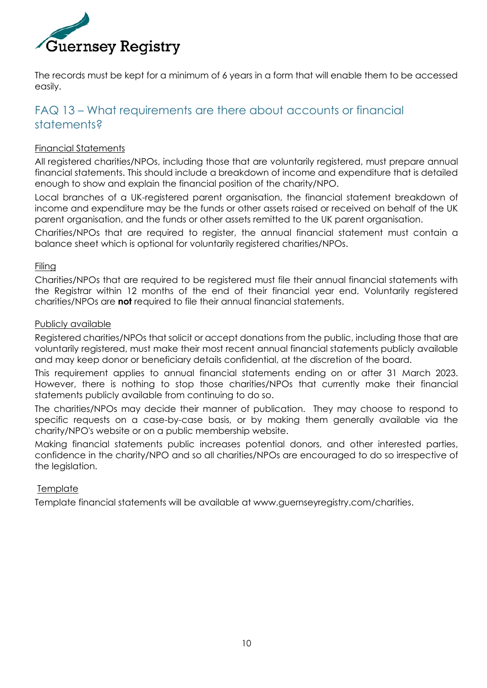

The records must be kept for a minimum of 6 years in a form that will enable them to be accessed easily.

### <span id="page-9-0"></span>FAQ 13 – What requirements are there about accounts or financial statements?

#### Financial Statements

All registered charities/NPOs, including those that are voluntarily registered, must prepare annual financial statements. This should include a breakdown of income and expenditure that is detailed enough to show and explain the financial position of the charity/NPO.

Local branches of a UK-registered parent organisation, the financial statement breakdown of income and expenditure may be the funds or other assets raised or received on behalf of the UK parent organisation, and the funds or other assets remitted to the UK parent organisation.

Charities/NPOs that are required to register, the annual financial statement must contain a balance sheet which is optional for voluntarily registered charities/NPOs.

#### Filing

Charities/NPOs that are required to be registered must file their annual financial statements with the Registrar within 12 months of the end of their financial year end. Voluntarily registered charities/NPOs are **not** required to file their annual financial statements.

#### Publicly available

Registered charities/NPOs that solicit or accept donations from the public, including those that are voluntarily registered, must make their most recent annual financial statements publicly available and may keep donor or beneficiary details confidential, at the discretion of the board.

This requirement applies to annual financial statements ending on or after 31 March 2023. However, there is nothing to stop those charities/NPOs that currently make their financial statements publicly available from continuing to do so.

The charities/NPOs may decide their manner of publication. They may choose to respond to specific requests on a case-by-case basis, or by making them generally available via the charity/NPO's website or on a public membership website.

Making financial statements public increases potential donors, and other interested parties, confidence in the charity/NPO and so all charities/NPOs are encouraged to do so irrespective of the legislation.

#### **Template**

Template financial statements will be available at www.guernseyregistry.com/charities.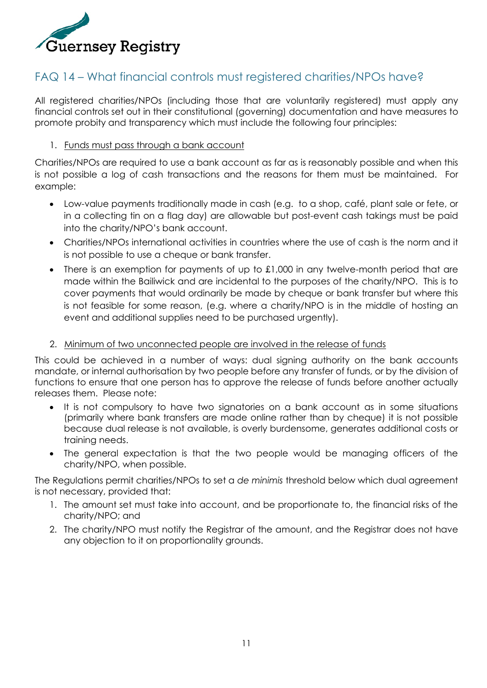

### <span id="page-10-0"></span>FAQ 14 – What financial controls must registered charities/NPOs have?

All registered charities/NPOs (including those that are voluntarily registered) must apply any financial controls set out in their constitutional (governing) documentation and have measures to promote probity and transparency which must include the following four principles:

#### 1. Funds must pass through a bank account

Charities/NPOs are required to use a bank account as far as is reasonably possible and when this is not possible a log of cash transactions and the reasons for them must be maintained. For example:

- Low-value payments traditionally made in cash (e.g. to a shop, café, plant sale or fete, or in a collecting tin on a flag day) are allowable but post-event cash takings must be paid into the charity/NPO's bank account.
- Charities/NPOs international activities in countries where the use of cash is the norm and it is not possible to use a cheque or bank transfer.
- There is an exemption for payments of up to £1,000 in any twelve-month period that are made within the Bailiwick and are incidental to the purposes of the charity/NPO. This is to cover payments that would ordinarily be made by cheque or bank transfer but where this is not feasible for some reason, (e.g. where a charity/NPO is in the middle of hosting an event and additional supplies need to be purchased urgently).

#### 2. Minimum of two unconnected people are involved in the release of funds

This could be achieved in a number of ways: dual signing authority on the bank accounts mandate, or internal authorisation by two people before any transfer of funds, or by the division of functions to ensure that one person has to approve the release of funds before another actually releases them. Please note:

- It is not compulsory to have two signatories on a bank account as in some situations (primarily where bank transfers are made online rather than by cheque) it is not possible because dual release is not available, is overly burdensome, generates additional costs or training needs.
- The general expectation is that the two people would be managing officers of the charity/NPO, when possible.

The Regulations permit charities/NPOs to set a *de minimis* threshold below which dual agreement is not necessary, provided that:

- 1. The amount set must take into account, and be proportionate to, the financial risks of the charity/NPO; and
- 2. The charity/NPO must notify the Registrar of the amount, and the Registrar does not have any objection to it on proportionality grounds.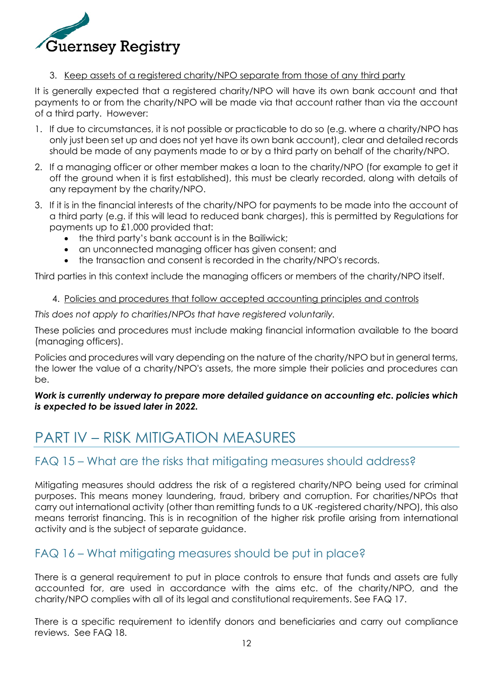

#### 3. Keep assets of a registered charity/NPO separate from those of any third party

It is generally expected that a registered charity/NPO will have its own bank account and that payments to or from the charity/NPO will be made via that account rather than via the account of a third party. However:

- 1. If due to circumstances, it is not possible or practicable to do so (e.g. where a charity/NPO has only just been set up and does not yet have its own bank account), clear and detailed records should be made of any payments made to or by a third party on behalf of the charity/NPO.
- 2. If a managing officer or other member makes a loan to the charity/NPO (for example to get it off the ground when it is first established), this must be clearly recorded, along with details of any repayment by the charity/NPO.
- 3. If it is in the financial interests of the charity/NPO for payments to be made into the account of a third party (e.g. if this will lead to reduced bank charges), this is permitted by Regulations for payments up to £1,000 provided that:
	- the third party's bank account is in the Bailiwick;
	- an unconnected managing officer has given consent; and
	- the transaction and consent is recorded in the charity/NPO's records.

Third parties in this context include the managing officers or members of the charity/NPO itself.

#### 4. Policies and procedures that follow accepted accounting principles and controls

*This does not apply to charities/NPOs that have registered voluntarily.* 

These policies and procedures must include making financial information available to the board (managing officers).

Policies and procedures will vary depending on the nature of the charity/NPO but in general terms, the lower the value of a charity/NPO's assets, the more simple their policies and procedures can be.

#### *Work is currently underway to prepare more detailed guidance on accounting etc. policies which is expected to be issued later in 2022.*

## <span id="page-11-0"></span>PART IV – RISK MITIGATION MEASURES

### <span id="page-11-1"></span>FAQ 15 – What are the risks that mitigating measures should address?

Mitigating measures should address the risk of a registered charity/NPO being used for criminal purposes. This means money laundering, fraud, bribery and corruption. For charities/NPOs that carry out international activity (other than remitting funds to a UK -registered charity/NPO), this also means terrorist financing. This is in recognition of the higher risk profile arising from international activity and is the subject of separate guidance.

### <span id="page-11-2"></span>FAQ 16 – What mitigating measures should be put in place?

There is a general requirement to put in place controls to ensure that funds and assets are fully accounted for, are used in accordance with the aims etc. of the charity/NPO, and the charity/NPO complies with all of its legal and constitutional requirements. See FAQ 17.

There is a specific requirement to identify donors and beneficiaries and carry out compliance reviews. See FAQ 18.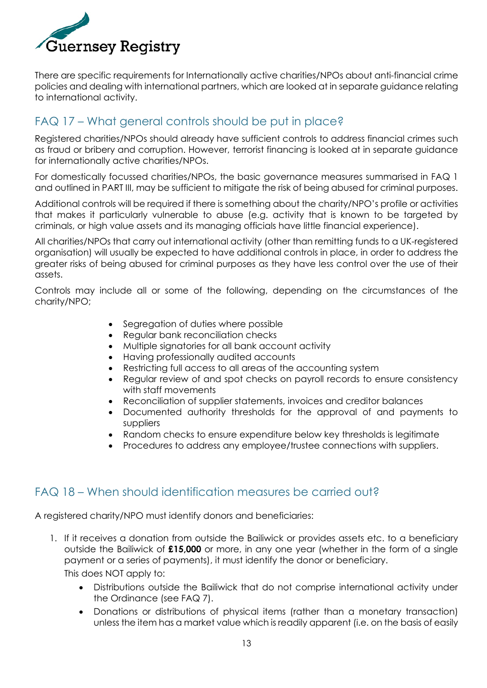

There are specific requirements for Internationally active charities/NPOs about anti-financial crime policies and dealing with international partners, which are looked at in separate guidance relating to international activity.

### <span id="page-12-0"></span>FAQ 17 – What general controls should be put in place?

Registered charities/NPOs should already have sufficient controls to address financial crimes such as fraud or bribery and corruption. However, terrorist financing is looked at in separate guidance for internationally active charities/NPOs.

For domestically focussed charities/NPOs, the basic governance measures summarised in FAQ 1 and outlined in PART III, may be sufficient to mitigate the risk of being abused for criminal purposes.

Additional controls will be required if there is something about the charity/NPO's profile or activities that makes it particularly vulnerable to abuse (e.g. activity that is known to be targeted by criminals, or high value assets and its managing officials have little financial experience).

All charities/NPOs that carry out international activity (other than remitting funds to a UK-registered organisation) will usually be expected to have additional controls in place, in order to address the greater risks of being abused for criminal purposes as they have less control over the use of their assets.

Controls may include all or some of the following, depending on the circumstances of the charity/NPO;

- Segregation of duties where possible
- Regular bank reconciliation checks
- Multiple signatories for all bank account activity
- Having professionally audited accounts
- Restricting full access to all areas of the accounting system
- Regular review of and spot checks on payroll records to ensure consistency with staff movements
- Reconciliation of supplier statements, invoices and creditor balances
- Documented authority thresholds for the approval of and payments to suppliers
- Random checks to ensure expenditure below key thresholds is legitimate
- Procedures to address any employee/trustee connections with suppliers.

### <span id="page-12-1"></span>FAQ 18 – When should identification measures be carried out?

A registered charity/NPO must identify donors and beneficiaries:

- 1. If it receives a donation from outside the Bailiwick or provides assets etc. to a beneficiary outside the Bailiwick of **£15,000** or more, in any one year (whether in the form of a single payment or a series of payments), it must identify the donor or beneficiary. This does NOT apply to:
	- Distributions outside the Bailiwick that do not comprise international activity under the Ordinance (see FAQ 7).
	- Donations or distributions of physical items (rather than a monetary transaction) unless the item has a market value which is readily apparent (i.e. on the basis of easily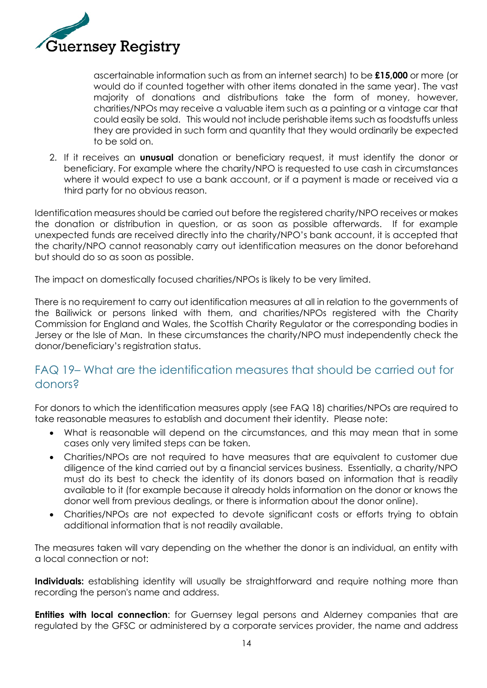

ascertainable information such as from an internet search) to be **£15,000** or more (or would do if counted together with other items donated in the same year). The vast majority of donations and distributions take the form of money, however, charities/NPOs may receive a valuable item such as a painting or a vintage car that could easily be sold. This would not include perishable items such as foodstuffs unless they are provided in such form and quantity that they would ordinarily be expected to be sold on.

2. If it receives an **unusual** donation or beneficiary request, it must identify the donor or beneficiary. For example where the charity/NPO is requested to use cash in circumstances where it would expect to use a bank account, or if a payment is made or received via a third party for no obvious reason.

Identification measures should be carried out before the registered charity/NPO receives or makes the donation or distribution in question, or as soon as possible afterwards. If for example unexpected funds are received directly into the charity/NPO's bank account, it is accepted that the charity/NPO cannot reasonably carry out identification measures on the donor beforehand but should do so as soon as possible.

The impact on domestically focused charities/NPOs is likely to be very limited.

There is no requirement to carry out identification measures at all in relation to the governments of the Bailiwick or persons linked with them, and charities/NPOs registered with the Charity Commission for England and Wales, the Scottish Charity Regulator or the corresponding bodies in Jersey or the Isle of Man. In these circumstances the charity/NPO must independently check the donor/beneficiary's registration status.

### <span id="page-13-0"></span>FAQ 19– What are the identification measures that should be carried out for donors?

For donors to which the identification measures apply (see FAQ 18) charities/NPOs are required to take reasonable measures to establish and document their identity. Please note:

- What is reasonable will depend on the circumstances, and this may mean that in some cases only very limited steps can be taken.
- Charities/NPOs are not required to have measures that are equivalent to customer due diligence of the kind carried out by a financial services business. Essentially, a charity/NPO must do its best to check the identity of its donors based on information that is readily available to it (for example because it already holds information on the donor or knows the donor well from previous dealings, or there is information about the donor online).
- Charities/NPOs are not expected to devote significant costs or efforts trying to obtain additional information that is not readily available.

The measures taken will vary depending on the whether the donor is an individual, an entity with a local connection or not:

**Individuals:** establishing identity will usually be straightforward and require nothing more than recording the person's name and address.

**Entities with local connection:** for Guernsey legal persons and Alderney companies that are regulated by the GFSC or administered by a corporate services provider, the name and address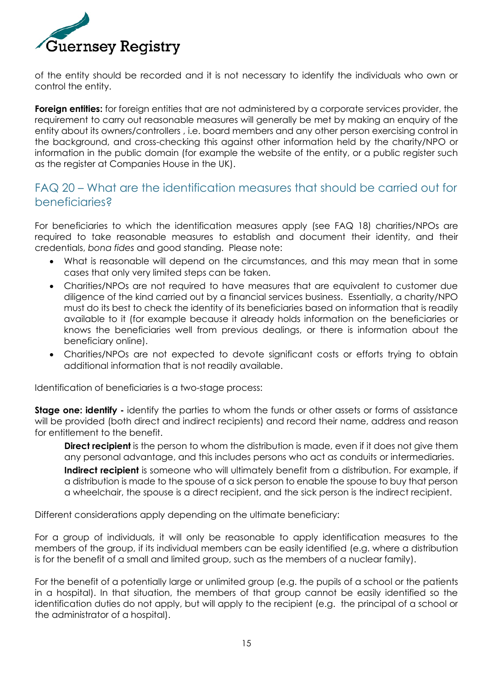

of the entity should be recorded and it is not necessary to identify the individuals who own or control the entity.

**Foreign entities:** for foreign entities that are not administered by a corporate services provider, the requirement to carry out reasonable measures will generally be met by making an enquiry of the entity about its owners/controllers , i.e. board members and any other person exercising control in the background, and cross-checking this against other information held by the charity/NPO or information in the public domain (for example the website of the entity, or a public register such as the register at Companies House in the UK).

### <span id="page-14-0"></span>FAQ 20 – What are the identification measures that should be carried out for beneficiaries?

For beneficiaries to which the identification measures apply (see FAQ 18) charities/NPOs are required to take reasonable measures to establish and document their identity, and their credentials, *bona fides* and good standing. Please note:

- What is reasonable will depend on the circumstances, and this may mean that in some cases that only very limited steps can be taken.
- Charities/NPOs are not required to have measures that are equivalent to customer due diligence of the kind carried out by a financial services business. Essentially, a charity/NPO must do its best to check the identity of its beneficiaries based on information that is readily available to it (for example because it already holds information on the beneficiaries or knows the beneficiaries well from previous dealings, or there is information about the beneficiary online).
- Charities/NPOs are not expected to devote significant costs or efforts trying to obtain additional information that is not readily available.

Identification of beneficiaries is a two-stage process:

**Stage one: identify -** identify the parties to whom the funds or other assets or forms of assistance will be provided (both direct and indirect recipients) and record their name, address and reason for entitlement to the benefit.

**Direct recipient** is the person to whom the distribution is made, even if it does not give them any personal advantage, and this includes persons who act as conduits or intermediaries. **Indirect recipient** is someone who will ultimately benefit from a distribution. For example, if a distribution is made to the spouse of a sick person to enable the spouse to buy that person a wheelchair, the spouse is a direct recipient, and the sick person is the indirect recipient.

Different considerations apply depending on the ultimate beneficiary:

For a group of individuals, it will only be reasonable to apply identification measures to the members of the group, if its individual members can be easily identified (e.g. where a distribution is for the benefit of a small and limited group, such as the members of a nuclear family).

For the benefit of a potentially large or unlimited group (e.g. the pupils of a school or the patients in a hospital). In that situation, the members of that group cannot be easily identified so the identification duties do not apply, but will apply to the recipient (e.g. the principal of a school or the administrator of a hospital).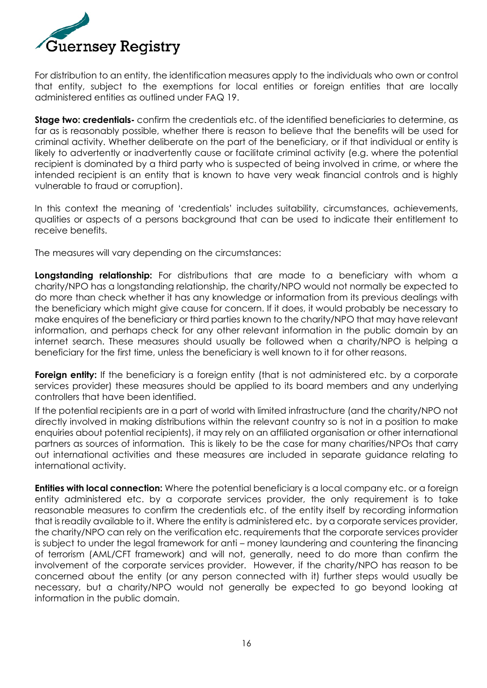

For distribution to an entity, the identification measures apply to the individuals who own or control that entity, subject to the exemptions for local entities or foreign entities that are locally administered entities as outlined under FAQ 19.

**Stage two: credentials-** confirm the credentials etc. of the identified beneficiaries to determine, as far as is reasonably possible, whether there is reason to believe that the benefits will be used for criminal activity. Whether deliberate on the part of the beneficiary, or if that individual or entity is likely to advertently or inadvertently cause or facilitate criminal activity (e.g. where the potential recipient is dominated by a third party who is suspected of being involved in crime, or where the intended recipient is an entity that is known to have very weak financial controls and is highly vulnerable to fraud or corruption).

In this context the meaning of 'credentials' includes suitability, circumstances, achievements, qualities or aspects of a persons background that can be used to indicate their entitlement to receive benefits.

The measures will vary depending on the circumstances:

**Longstanding relationship:** For distributions that are made to a beneficiary with whom a charity/NPO has a longstanding relationship, the charity/NPO would not normally be expected to do more than check whether it has any knowledge or information from its previous dealings with the beneficiary which might give cause for concern. If it does, it would probably be necessary to make enquires of the beneficiary or third parties known to the charity/NPO that may have relevant information, and perhaps check for any other relevant information in the public domain by an internet search. These measures should usually be followed when a charity/NPO is helping a beneficiary for the first time, unless the beneficiary is well known to it for other reasons.

**Foreign entity:** If the beneficiary is a foreign entity (that is not administered etc. by a corporate services provider) these measures should be applied to its board members and any underlying controllers that have been identified.

If the potential recipients are in a part of world with limited infrastructure (and the charity/NPO not directly involved in making distributions within the relevant country so is not in a position to make enquiries about potential recipients), it may rely on an affiliated organisation or other international partners as sources of information. This is likely to be the case for many charities/NPOs that carry out international activities and these measures are included in separate guidance relating to international activity.

**Entities with local connection:** Where the potential beneficiary is a local company etc. or a foreign entity administered etc. by a corporate services provider, the only requirement is to take reasonable measures to confirm the credentials etc. of the entity itself by recording information that is readily available to it. Where the entity is administered etc. by a corporate services provider, the charity/NPO can rely on the verification etc. requirements that the corporate services provider is subject to under the legal framework for anti – money laundering and countering the financing of terrorism (AML/CFT framework) and will not, generally, need to do more than confirm the involvement of the corporate services provider. However, if the charity/NPO has reason to be concerned about the entity (or any person connected with it) further steps would usually be necessary, but a charity/NPO would not generally be expected to go beyond looking at information in the public domain.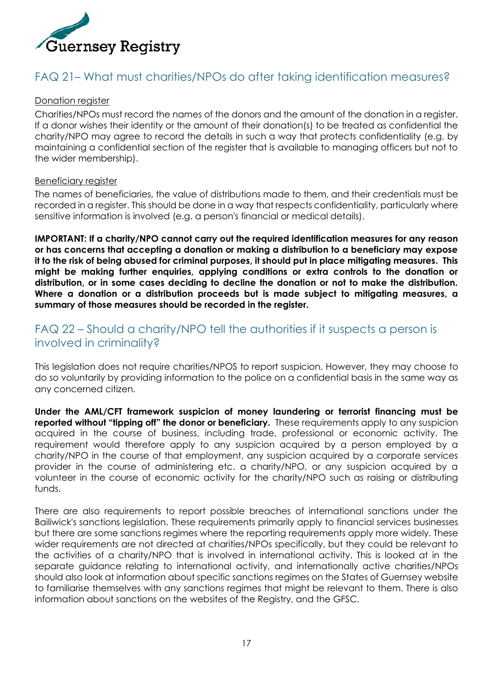

### <span id="page-16-0"></span>FAQ 21– What must charities/NPOs do after taking identification measures?

#### Donation register

Charities/NPOs must record the names of the donors and the amount of the donation in a register. If a donor wishes their identity or the amount of their donation(s) to be treated as confidential the charity/NPO may agree to record the details in such a way that protects confidentiality (e.g. by maintaining a confidential section of the register that is available to managing officers but not to the wider membership).

#### Beneficiary register

The names of beneficiaries, the value of distributions made to them, and their credentials must be recorded in a register. This should be done in a way that respects confidentiality, particularly where sensitive information is involved (e.g. a person's financial or medical details).

**IMPORTANT: If a charity/NPO cannot carry out the required identification measures for any reason or has concerns that accepting a donation or making a distribution to a beneficiary may expose it to the risk of being abused for criminal purposes, it should put in place mitigating measures. This might be making further enquiries, applying conditions or extra controls to the donation or distribution, or in some cases deciding to decline the donation or not to make the distribution. Where a donation or a distribution proceeds but is made subject to mitigating measures, a summary of those measures should be recorded in the register.**

### <span id="page-16-1"></span>FAQ 22 – Should a charity/NPO tell the authorities if it suspects a person is involved in criminality?

This legislation does not require charities/NPOS to report suspicion. However, they may choose to do so voluntarily by providing information to the police on a confidential basis in the same way as any concerned citizen.

**Under the AML/CFT framework suspicion of money laundering or terrorist financing must be reported without "tipping off" the donor or beneficiary.** These requirements apply to any suspicion acquired in the course of business, including trade, professional or economic activity. The requirement would therefore apply to any suspicion acquired by a person employed by a charity/NPO in the course of that employment, any suspicion acquired by a corporate services provider in the course of administering etc. a charity/NPO, or any suspicion acquired by a volunteer in the course of economic activity for the charity/NPO such as raising or distributing funds.

There are also requirements to report possible breaches of international sanctions under the Bailiwick's sanctions legislation. These requirements primarily apply to financial services businesses but there are some sanctions regimes where the reporting requirements apply more widely. These wider requirements are not directed at charities/NPOs specifically, but they could be relevant to the activities of a charity/NPO that is involved in international activity. This is looked at in the separate guidance relating to international activity, and internationally active charities/NPOs should also look at information about specific sanctions regimes on the States of Guernsey website to familiarise themselves with any sanctions regimes that might be relevant to them. There is also information about sanctions on the websites of the Registry, and the GFSC.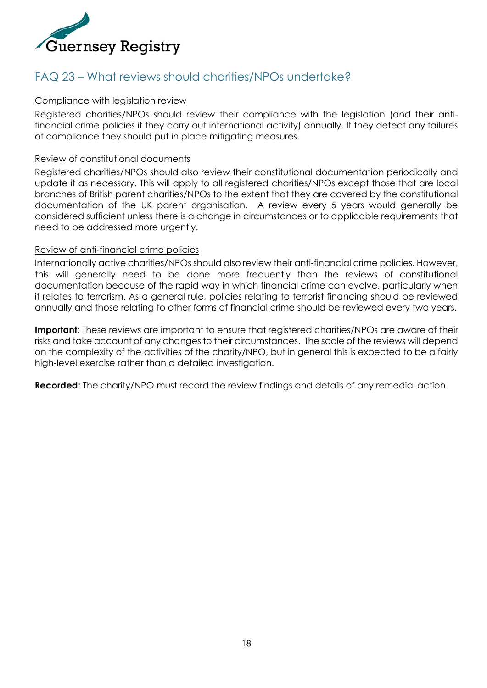

### <span id="page-17-0"></span>FAQ 23 – What reviews should charities/NPOs undertake?

#### Compliance with legislation review

Registered charities/NPOs should review their compliance with the legislation (and their antifinancial crime policies if they carry out international activity) annually. If they detect any failures of compliance they should put in place mitigating measures.

#### Review of constitutional documents

Registered charities/NPOs should also review their constitutional documentation periodically and update it as necessary. This will apply to all registered charities/NPOs except those that are local branches of British parent charities/NPOs to the extent that they are covered by the constitutional documentation of the UK parent organisation. A review every 5 years would generally be considered sufficient unless there is a change in circumstances or to applicable requirements that need to be addressed more urgently.

#### Review of anti-financial crime policies

Internationally active charities/NPOs should also review their anti-financial crime policies. However, this will generally need to be done more frequently than the reviews of constitutional documentation because of the rapid way in which financial crime can evolve, particularly when it relates to terrorism. As a general rule, policies relating to terrorist financing should be reviewed annually and those relating to other forms of financial crime should be reviewed every two years.

**Important:** These reviews are important to ensure that registered charities/NPOs are aware of their risks and take account of any changes to their circumstances. The scale of the reviews will depend on the complexity of the activities of the charity/NPO, but in general this is expected to be a fairly high-level exercise rather than a detailed investigation.

**Recorded**: The charity/NPO must record the review findings and details of any remedial action.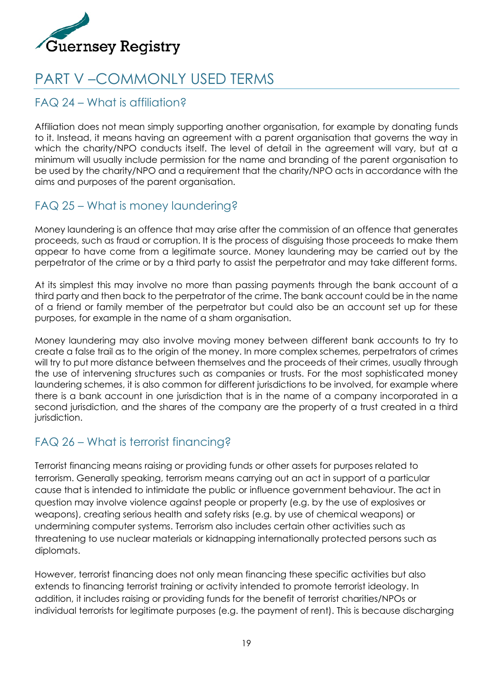

## <span id="page-18-0"></span>PART V –COMMONLY USED TERMS

### <span id="page-18-1"></span>FAQ 24 – What is affiliation?

Affiliation does not mean simply supporting another organisation, for example by donating funds to it. Instead, it means having an agreement with a parent organisation that governs the way in which the charity/NPO conducts itself. The level of detail in the agreement will vary, but at a minimum will usually include permission for the name and branding of the parent organisation to be used by the charity/NPO and a requirement that the charity/NPO acts in accordance with the aims and purposes of the parent organisation.

### <span id="page-18-2"></span>FAQ 25 – What is money laundering?

Money laundering is an offence that may arise after the commission of an offence that generates proceeds, such as fraud or corruption. It is the process of disguising those proceeds to make them appear to have come from a legitimate source. Money laundering may be carried out by the perpetrator of the crime or by a third party to assist the perpetrator and may take different forms.

At its simplest this may involve no more than passing payments through the bank account of a third party and then back to the perpetrator of the crime. The bank account could be in the name of a friend or family member of the perpetrator but could also be an account set up for these purposes, for example in the name of a sham organisation.

Money laundering may also involve moving money between different bank accounts to try to create a false trail as to the origin of the money. In more complex schemes, perpetrators of crimes will try to put more distance between themselves and the proceeds of their crimes, usually through the use of intervening structures such as companies or trusts. For the most sophisticated money laundering schemes, it is also common for different jurisdictions to be involved, for example where there is a bank account in one jurisdiction that is in the name of a company incorporated in a second jurisdiction, and the shares of the company are the property of a trust created in a third jurisdiction.

### <span id="page-18-3"></span>FAQ 26 – What is terrorist financing?

Terrorist financing means raising or providing funds or other assets for purposes related to terrorism. Generally speaking, terrorism means carrying out an act in support of a particular cause that is intended to intimidate the public or influence government behaviour. The act in question may involve violence against people or property (e.g. by the use of explosives or weapons), creating serious health and safety risks (e.g. by use of chemical weapons) or undermining computer systems. Terrorism also includes certain other activities such as threatening to use nuclear materials or kidnapping internationally protected persons such as diplomats.

However, terrorist financing does not only mean financing these specific activities but also extends to financing terrorist training or activity intended to promote terrorist ideology. In addition, it includes raising or providing funds for the benefit of terrorist charities/NPOs or individual terrorists for legitimate purposes (e.g. the payment of rent). This is because discharging